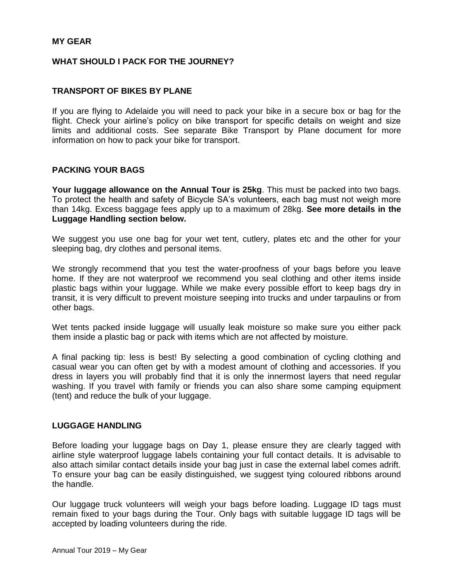#### **MY GEAR**

#### **WHAT SHOULD I PACK FOR THE JOURNEY?**

#### **TRANSPORT OF BIKES BY PLANE**

If you are flying to Adelaide you will need to pack your bike in a secure box or bag for the flight. Check your airline's policy on bike transport for specific details on weight and size limits and additional costs. See separate Bike Transport by Plane document for more information on how to pack your bike for transport.

#### **PACKING YOUR BAGS**

**Your luggage allowance on the Annual Tour is 25kg**. This must be packed into two bags. To protect the health and safety of Bicycle SA's volunteers, each bag must not weigh more than 14kg. Excess baggage fees apply up to a maximum of 28kg. **See more details in the Luggage Handling section below.**

We suggest you use one bag for your wet tent, cutlery, plates etc and the other for your sleeping bag, dry clothes and personal items.

We strongly recommend that you test the water-proofness of your bags before you leave home. If they are not waterproof we recommend you seal clothing and other items inside plastic bags within your luggage. While we make every possible effort to keep bags dry in transit, it is very difficult to prevent moisture seeping into trucks and under tarpaulins or from other bags.

Wet tents packed inside luggage will usually leak moisture so make sure you either pack them inside a plastic bag or pack with items which are not affected by moisture.

A final packing tip: less is best! By selecting a good combination of cycling clothing and casual wear you can often get by with a modest amount of clothing and accessories. If you dress in layers you will probably find that it is only the innermost layers that need regular washing. If you travel with family or friends you can also share some camping equipment (tent) and reduce the bulk of your luggage.

#### **LUGGAGE HANDLING**

Before loading your luggage bags on Day 1, please ensure they are clearly tagged with airline style waterproof luggage labels containing your full contact details. It is advisable to also attach similar contact details inside your bag just in case the external label comes adrift. To ensure your bag can be easily distinguished, we suggest tying coloured ribbons around the handle.

Our luggage truck volunteers will weigh your bags before loading. Luggage ID tags must remain fixed to your bags during the Tour. Only bags with suitable luggage ID tags will be accepted by loading volunteers during the ride.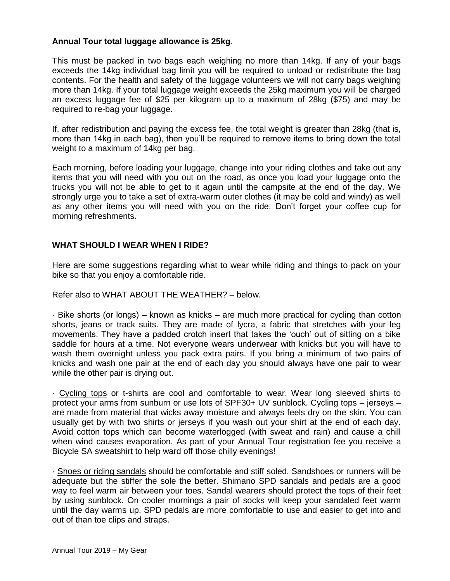### **Annual Tour total luggage allowance is 25kg**.

This must be packed in two bags each weighing no more than 14kg. If any of your bags exceeds the 14kg individual bag limit you will be required to unload or redistribute the bag contents. For the health and safety of the luggage volunteers we will not carry bags weighing more than 14kg. If your total luggage weight exceeds the 25kg maximum you will be charged an excess luggage fee of \$25 per kilogram up to a maximum of 28kg (\$75) and may be required to re-bag your luggage.

If, after redistribution and paying the excess fee, the total weight is greater than 28kg (that is, more than 14kg in each bag), then you'll be required to remove items to bring down the total weight to a maximum of 14kg per bag.

Each morning, before loading your luggage, change into your riding clothes and take out any items that you will need with you out on the road, as once you load your luggage onto the trucks you will not be able to get to it again until the campsite at the end of the day. We strongly urge you to take a set of extra-warm outer clothes (it may be cold and windy) as well as any other items you will need with you on the ride. Don't forget your coffee cup for morning refreshments.

#### **WHAT SHOULD I WEAR WHEN I RIDE?**

Here are some suggestions regarding what to wear while riding and things to pack on your bike so that you enjoy a comfortable ride.

Refer also to WHAT ABOUT THE WEATHER? – below.

· Bike shorts (or longs) – known as knicks – are much more practical for cycling than cotton shorts, jeans or track suits. They are made of lycra, a fabric that stretches with your leg movements. They have a padded crotch insert that takes the 'ouch' out of sitting on a bike saddle for hours at a time. Not everyone wears underwear with knicks but you will have to wash them overnight unless you pack extra pairs. If you bring a minimum of two pairs of knicks and wash one pair at the end of each day you should always have one pair to wear while the other pair is drying out.

· Cycling tops or t-shirts are cool and comfortable to wear. Wear long sleeved shirts to protect your arms from sunburn or use lots of SPF30+ UV sunblock. Cycling tops – jerseys – are made from material that wicks away moisture and always feels dry on the skin. You can usually get by with two shirts or jerseys if you wash out your shirt at the end of each day. Avoid cotton tops which can become waterlogged (with sweat and rain) and cause a chill when wind causes evaporation. As part of your Annual Tour registration fee you receive a Bicycle SA sweatshirt to help ward off those chilly evenings!

· Shoes or riding sandals should be comfortable and stiff soled. Sandshoes or runners will be adequate but the stiffer the sole the better. Shimano SPD sandals and pedals are a good way to feel warm air between your toes. Sandal wearers should protect the tops of their feet by using sunblock. On cooler mornings a pair of socks will keep your sandaled feet warm until the day warms up. SPD pedals are more comfortable to use and easier to get into and out of than toe clips and straps.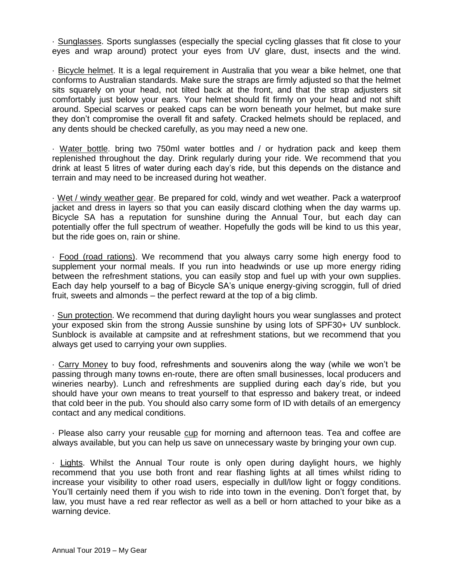· Sunglasses. Sports sunglasses (especially the special cycling glasses that fit close to your eyes and wrap around) protect your eyes from UV glare, dust, insects and the wind.

· Bicycle helmet. It is a legal requirement in Australia that you wear a bike helmet, one that conforms to Australian standards. Make sure the straps are firmly adjusted so that the helmet sits squarely on your head, not tilted back at the front, and that the strap adjusters sit comfortably just below your ears. Your helmet should fit firmly on your head and not shift around. Special scarves or peaked caps can be worn beneath your helmet, but make sure they don't compromise the overall fit and safety. Cracked helmets should be replaced, and any dents should be checked carefully, as you may need a new one.

· Water bottle. bring two 750ml water bottles and / or hydration pack and keep them replenished throughout the day. Drink regularly during your ride. We recommend that you drink at least 5 litres of water during each day's ride, but this depends on the distance and terrain and may need to be increased during hot weather.

· Wet / windy weather gear. Be prepared for cold, windy and wet weather. Pack a waterproof jacket and dress in layers so that you can easily discard clothing when the day warms up. Bicycle SA has a reputation for sunshine during the Annual Tour, but each day can potentially offer the full spectrum of weather. Hopefully the gods will be kind to us this year, but the ride goes on, rain or shine.

· Food (road rations). We recommend that you always carry some high energy food to supplement your normal meals. If you run into headwinds or use up more energy riding between the refreshment stations, you can easily stop and fuel up with your own supplies. Each day help yourself to a bag of Bicycle SA's unique energy-giving scroggin, full of dried fruit, sweets and almonds – the perfect reward at the top of a big climb.

· Sun protection. We recommend that during daylight hours you wear sunglasses and protect your exposed skin from the strong Aussie sunshine by using lots of SPF30+ UV sunblock. Sunblock is available at campsite and at refreshment stations, but we recommend that you always get used to carrying your own supplies.

· Carry Money to buy food, refreshments and souvenirs along the way (while we won't be passing through many towns en-route, there are often small businesses, local producers and wineries nearby). Lunch and refreshments are supplied during each day's ride, but you should have your own means to treat yourself to that espresso and bakery treat, or indeed that cold beer in the pub. You should also carry some form of ID with details of an emergency contact and any medical conditions.

· Please also carry your reusable cup for morning and afternoon teas. Tea and coffee are always available, but you can help us save on unnecessary waste by bringing your own cup.

· Lights. Whilst the Annual Tour route is only open during daylight hours, we highly recommend that you use both front and rear flashing lights at all times whilst riding to increase your visibility to other road users, especially in dull/low light or foggy conditions. You'll certainly need them if you wish to ride into town in the evening. Don't forget that, by law, you must have a red rear reflector as well as a bell or horn attached to your bike as a warning device.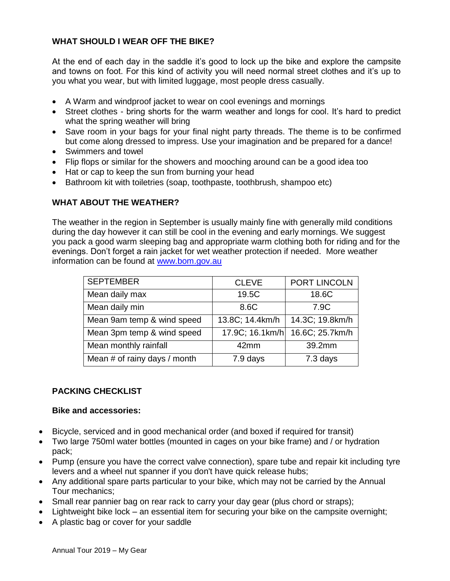### **WHAT SHOULD I WEAR OFF THE BIKE?**

At the end of each day in the saddle it's good to lock up the bike and explore the campsite and towns on foot. For this kind of activity you will need normal street clothes and it's up to you what you wear, but with limited luggage, most people dress casually.

- A Warm and windproof jacket to wear on cool evenings and mornings
- Street clothes bring shorts for the warm weather and longs for cool. It's hard to predict what the spring weather will bring
- Save room in your bags for your final night party threads. The theme is to be confirmed but come along dressed to impress. Use your imagination and be prepared for a dance!
- Swimmers and towel
- Flip flops or similar for the showers and mooching around can be a good idea too
- Hat or cap to keep the sun from burning your head
- Bathroom kit with toiletries (soap, toothpaste, toothbrush, shampoo etc)

# **WHAT ABOUT THE WEATHER?**

The weather in the region in September is usually mainly fine with generally mild conditions during the day however it can still be cool in the evening and early mornings. We suggest you pack a good warm sleeping bag and appropriate warm clothing both for riding and for the evenings. Don't forget a rain jacket for wet weather protection if needed. More weather information can be found at [www.bom.gov.au](http://www.bom.gov.au/)

| <b>SEPTEMBER</b>             | <b>CLEVE</b>    | PORT LINCOLN    |
|------------------------------|-----------------|-----------------|
| Mean daily max               | 19.5C           | 18.6C           |
| Mean daily min               | 8.6C            | 7.9C            |
| Mean 9am temp & wind speed   | 13.8C; 14.4km/h | 14.3C; 19.8km/h |
| Mean 3pm temp & wind speed   | 17.9C; 16.1km/h | 16.6C; 25.7km/h |
| Mean monthly rainfall        | 42mm            | 39.2mm          |
| Mean # of rainy days / month | 7.9 days        | 7.3 days        |

# **PACKING CHECKLIST**

### **Bike and accessories:**

- Bicycle, serviced and in good mechanical order (and boxed if required for transit)
- Two large 750ml water bottles (mounted in cages on your bike frame) and / or hydration pack;
- Pump (ensure you have the correct valve connection), spare tube and repair kit including tyre levers and a wheel nut spanner if you don't have quick release hubs;
- Any additional spare parts particular to your bike, which may not be carried by the Annual Tour mechanics;
- Small rear pannier bag on rear rack to carry your day gear (plus chord or straps);
- Lightweight bike lock an essential item for securing your bike on the campsite overnight;
- A plastic bag or cover for your saddle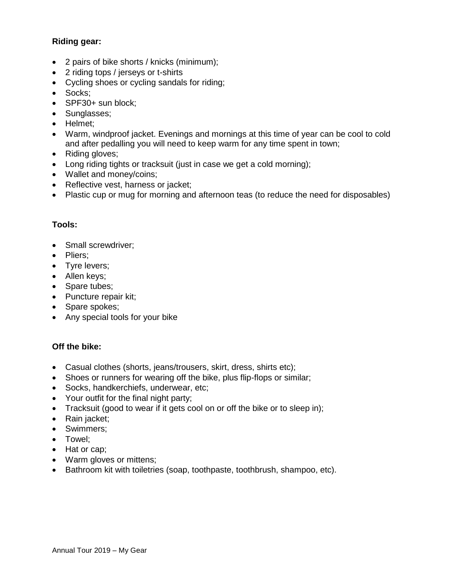## **Riding gear:**

- 2 pairs of bike shorts / knicks (minimum);
- 2 riding tops / jerseys or t-shirts
- Cycling shoes or cycling sandals for riding;
- Socks;
- SPF30+ sun block;
- Sunglasses;
- Helmet;
- Warm, windproof jacket. Evenings and mornings at this time of year can be cool to cold and after pedalling you will need to keep warm for any time spent in town;
- Riding gloves;
- Long riding tights or tracksuit (just in case we get a cold morning);
- Wallet and money/coins;
- Reflective vest, harness or jacket;
- Plastic cup or mug for morning and afternoon teas (to reduce the need for disposables)

### **Tools:**

- Small screwdriver;
- Pliers;
- Tyre levers;
- Allen keys;
- Spare tubes;
- Puncture repair kit;
- Spare spokes;
- Any special tools for your bike

### **Off the bike:**

- Casual clothes (shorts, jeans/trousers, skirt, dress, shirts etc);
- Shoes or runners for wearing off the bike, plus flip-flops or similar;
- Socks, handkerchiefs, underwear, etc;
- Your outfit for the final night party;
- Tracksuit (good to wear if it gets cool on or off the bike or to sleep in);
- Rain jacket;
- Swimmers;
- Towel;
- Hat or cap;
- Warm gloves or mittens;
- Bathroom kit with toiletries (soap, toothpaste, toothbrush, shampoo, etc).